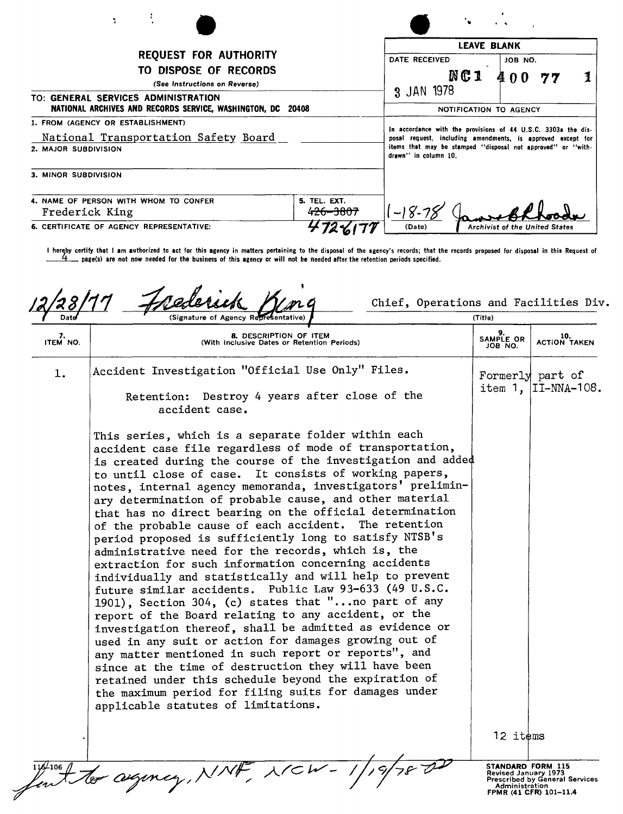| ÷                                                                                                                                                                                            |                                                                                                                                                                                                                     |                                      |                                       |  |
|----------------------------------------------------------------------------------------------------------------------------------------------------------------------------------------------|---------------------------------------------------------------------------------------------------------------------------------------------------------------------------------------------------------------------|--------------------------------------|---------------------------------------|--|
| <b>REQUEST FOR AUTHORITY</b><br>TO DISPOSE OF RECORDS<br>(See Instructions on Reverse)<br>TO: GENERAL SERVICES ADMINISTRATION<br>NATIONAL ARCHIVES AND RECORDS SERVICE, WASHINGTON, DC 20408 |                                                                                                                                                                                                                     | DATE RECEIVED<br>NC 1                | <b>LEAVE BLANK</b><br>JOB NO.         |  |
|                                                                                                                                                                                              |                                                                                                                                                                                                                     | 3 JAN 1978<br>NOTIFICATION TO AGENCY |                                       |  |
| 1. FROM (AGENCY OR ESTABLISHMENT)<br>National Transportation Safety Board<br>2. MAJOR SUBDIVISION                                                                                            | In accordance with the provisions of 44 U.S.C. 3303a the dis-<br>posal request, including amendments, is approved except for<br>items that may be stamped "disposal not approved" or "with-<br>drawn" in column 10. |                                      |                                       |  |
| 3. MINOR SUBDIVISION                                                                                                                                                                         |                                                                                                                                                                                                                     |                                      |                                       |  |
| 4. NAME OF PERSON WITH WHOM TO CONFER<br>Frederick King<br><b>6. CERTIFICATE OF AGENCY REPRESENTATIVE:</b>                                                                                   | 5. TEL. EXT.<br>426-3807                                                                                                                                                                                            | (Date)                               | <b>Archivist of the United States</b> |  |

I hereby certify that I am authorized to act for this agency in matters pertaining to the disposal of the agency's records; that the records proposed for disposal in this Request of page(s) are not now needed for the business of this agency or will not be needed after the retention periods specified.

Chief, Operations and Facilities Div. (Title) 9. 10.<br>ITEM NO. SAMPLE OR ITEM (With Inclusive Dates or Retention Periods) 3. SAMPLE OR ACTION TAKEN JOB NO. 1. Accident Investigation "Official Use Only" Files.  $\vert$  Formerly part of item 1, II-NNA-108. Retention: Destroy 4 years after close of the accident case. This series, which is a separate folder within each accident case file regardless of mode of transportation, is created during the course of the investigation and adde to until close of case. It consists of working papers, notes, internal agency memoranda, investigators' preliminary determination of probable cause, and other material that has no direct bearing on the official determination of the probable cause of each accident. The retention period proposed is sufficiently long to satisfy NTSB's administrative need for the records, which is, the extraction for such information concerning accidents individually and statistically and will help to prevent future similar accidents. Public Law 93-633 (49 U.S.C. 1901), Section 304, (c) states that "...no part of any report of the Board relating to any accident, or the investigation thereof, shall be admitted as evidence or used in any suit or action for damages growing out of any matter mentioned in such report or reports", and since at the time of destruction they will have been retained under this schedule beyond the expiration of the maximum period for filing suits for damages under applicable statutes of limitations. 12 items to agincy, NNF, NICW-ST**ANDARD FORM 115<br>Revised January 1973<br>Prescribed by General Services** Administration FPMR (41 CFR) 101-11.4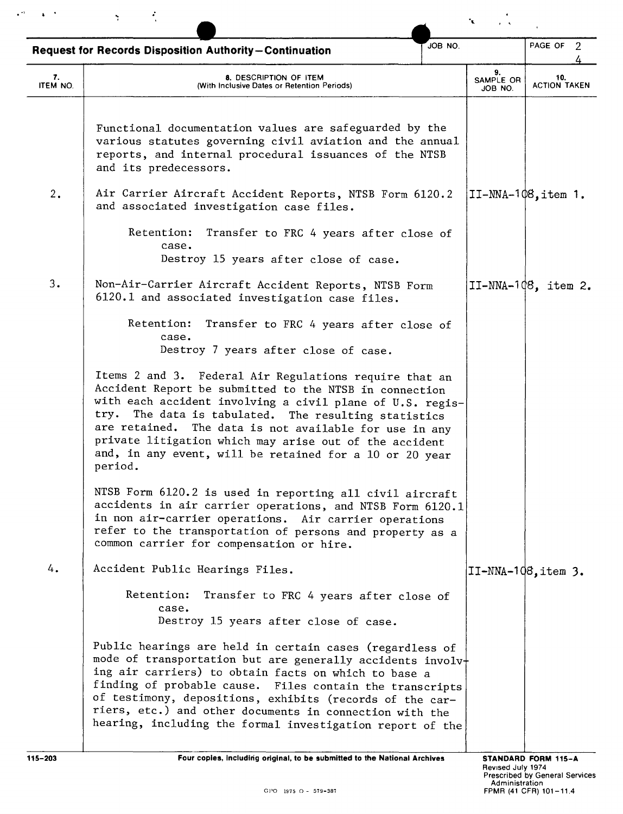|                | <b>Request for Records Disposition Authority-Continuation</b>                                                                                                                                                                                                                                                                                                                                                                      | JOB NO.                    | PAGE OF 2                  |
|----------------|------------------------------------------------------------------------------------------------------------------------------------------------------------------------------------------------------------------------------------------------------------------------------------------------------------------------------------------------------------------------------------------------------------------------------------|----------------------------|----------------------------|
| 7.<br>ITEM NO. | 8. DESCRIPTION OF ITEM<br>(With Inclusive Dates or Retention Periods)                                                                                                                                                                                                                                                                                                                                                              | 9.<br>SAMPLE OR<br>JOB NO. | 10.<br><b>ACTION TAKEN</b> |
|                | Functional documentation values are safeguarded by the<br>various statutes governing civil aviation and the annual<br>reports, and internal procedural issuances of the NTSB<br>and its predecessors.                                                                                                                                                                                                                              |                            |                            |
| 2.             | Air Carrier Aircraft Accident Reports, NTSB Form 6120.2<br>and associated investigation case files.                                                                                                                                                                                                                                                                                                                                |                            | $IT-NNA-1@8$ , item 1.     |
|                | Retention:<br>Transfer to FRC 4 years after close of<br>case.<br>Destroy 15 years after close of case.                                                                                                                                                                                                                                                                                                                             |                            |                            |
| 3.             | Non-Air-Carrier Aircraft Accident Reports, NTSB Form<br>6120.1 and associated investigation case files.                                                                                                                                                                                                                                                                                                                            |                            | $II-NNA-1Q8$ , item 2.     |
|                | Retention:<br>Transfer to FRC 4 years after close of<br>case.<br>Destroy 7 years after close of case.                                                                                                                                                                                                                                                                                                                              |                            |                            |
|                | Items 2 and 3. Federal Air Regulations require that an<br>Accident Report be submitted to the NTSB in connection<br>with each accident involving a civil plane of U.S. regis-<br>The data is tabulated. The resulting statistics<br>try.<br>are retained. The data is not available for use in any<br>private litigation which may arise out of the accident<br>and, in any event, will be retained for a 10 or 20 year<br>period. |                            |                            |
|                | NTSB Form 6120.2 is used in reporting all civil aircraft<br>accidents in air carrier operations, and NTSB Form 6120.1<br>in non air-carrier operations. Air carrier operations<br>refer to the transportation of persons and property as a<br>common carrier for compensation or hire.                                                                                                                                             |                            |                            |
| 4.             | Accident Public Hearings Files.                                                                                                                                                                                                                                                                                                                                                                                                    |                            | II-NNA-108, item 3.        |
|                | Retention:<br>Transfer to FRC 4 years after close of<br>case.<br>Destroy 15 years after close of case.                                                                                                                                                                                                                                                                                                                             |                            |                            |
|                | Public hearings are held in certain cases (regardless of<br>mode of transportation but are generally accidents involv+<br>ing air carriers) to obtain facts on which to base a<br>finding of probable cause. Files contain the transcripts<br>of testimony, depositions, exhibits (records of the car-<br>riers, etc.) and other documents in connection with the<br>hearing, including the formal investigation report of the     |                            |                            |

 $\mathbf{v}^{(0)} = \mathbf{v}^{(0)}$  .

 $\mathbf{S} = \mathcal{R}^{(1)}$  .